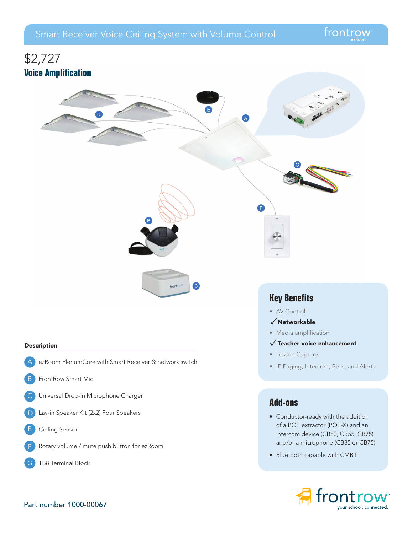# \$2,727 **Voice Amplification** e n) A A

front

 $\left( \begin{matrix} 0 \end{matrix} \right)$ 

### Description

- ezRoom PlenumCore with Smart Receiver & network switch  $\Delta$
- FrontRow Smart Mic B
- Universal Drop-in Microphone Charger  $\mathsf{C}$
- Lay-in Speaker Kit (2x2) Four Speakers  $\Box$
- Ceiling Sensor E
- Rotary volume / mute push button for ezRoom F
- TB8 Terminal Block

# **Key Benefits**

- AV Control
- $\sqrt{}$ Networkable
- Media amplification
- $\sqrt{\ }$ Teacher voice enhancement
- Lesson Capture
- IP Paging, Intercom, Bells, and Alerts

# **Add-ons**

- Conductor-ready with the addition of a POE extractor (POE-X) and an intercom device (CB50, CB55, CB75) and/or a microphone (CB85 or CB75)
- Bluetooth capable with CMBT

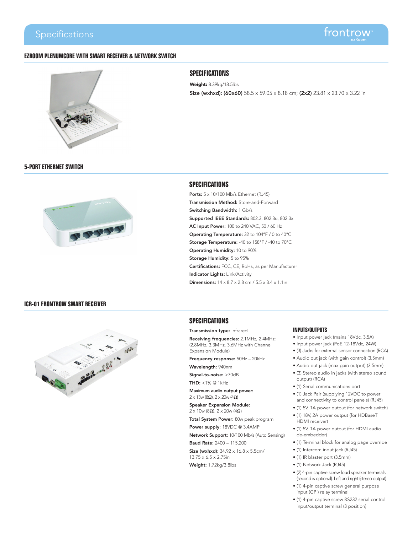# **EZROOM PLENUMCORE WITH SMART RECEIVER & NETWORK SWITCH**



# **SPECIFICATIONS**

Weight: 8.39kg/18.5lbs Size (wxhxd): (60x60) 58.5 x 59.05 x 8.18 cm; (2x2) 23.81 x 23.70 x 3.22 in

**5-PORT ETHERNET SWITCH**



### **ICR-01 FRONTROW SMART RECEIVER**



### **SPECIFICATIONS**

Ports:  $5 \times 10/100$  Mb/s Ethernet (RJ45) Transmission Method: Store-and-Forward Switching Bandwidth: 1 Gb/s Supported IEEE Standards: 802.3, 802.3u, 802.3x AC Input Power: 100 to 240 VAC, 50 / 60 Hz Operating Temperature: 32 to 104°F / 0 to 40°C Storage Temperature: -40 to 158°F / -40 to 70°C Operating Humidity: 10 to 90% Storage Humidity: 5 to 95% Certifications: FCC, CE, RoHs, as per Manufacturer Indicator Lights: Link/Activity Dimensions: 14 x 8.7 x 2.8 cm / 5.5 x 3.4 x 1.1in

### **SPECIFICATIONS**

### Transmission type: Infrared

Receiving frequencies: 2.1MHz, 2.4MHz; (2.8MHz, 3.3MHz, 3.6MHz with Channel Expansion Module)

Frequency response: 50Hz – 20kHz

Wavelength: 940nm

Signal-to-noise: >70dB THD: <1% @ 1kHz

Maximum audio output power: 2 x 13w (8Ω), 2 x 20w (4Ω)

Speaker Expansion Module: 2 x 10w (8Ω), 2 x 20w (4Ω)

Total System Power: 80w peak program

Power supply: 18VDC @ 3.4AMP

Network Support: 10/100 Mb/s (Auto Sensing)

Baud Rate: 2400 – 115,200

Size (wxhxd): 34.92 x 16.8 x 5.5cm/ 13.75 x 6.5 x 2.75in

Weight: 1.72kg/3.8lbs

### **INPUTS/OUTPUTS**

- Input power jack (mains 18Vdc, 3.5A)
- Input power jack (PoE 12-18Vdc, 24W)
- (3) Jacks for external sensor connection (RCA)
- Audio out jack (with gain control) (3.5mm)
- Audio out jack (max gain output) (3.5mm) • (3) Stereo audio in jacks (with stereo sound
- output) (RCA)
- (1) Serial communications port
- (1) Jack Pair (supplying 12VDC to power and connectivity to control panels) (RJ45)
- (1) 5V, 1A power output (for network switch)
- (1) 18V, 2A power output (for HDBaseT HDMI receiver)
- (1) 5V, 1A power output (for HDMI audio de-embedder)
- (1) Terminal block for analog page override
- (1) Intercom input jack (RJ45)
- (1) IR blaster port (3.5mm)
- (1) Network Jack (RJ45)
- (2) 4-pin captive screw loud speaker terminals (second is optional). Left and right (stereo output)
- (1) 4-pin captive screw general purpose input (GPI) relay terminal
- (1) 4-pin captive screw RS232 serial control input/output terminal (3 position)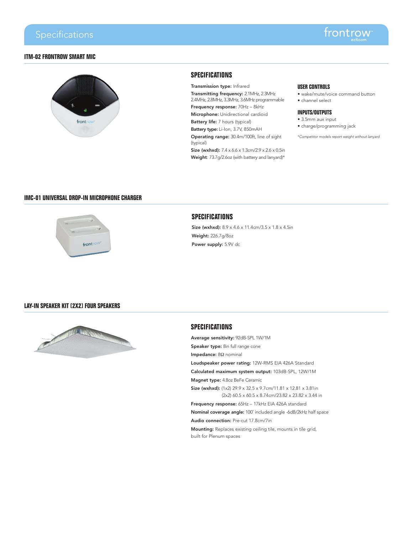## **ITM-02 FRONTROW SMART MIC**



# **SPECIFICATIONS**

Transmission type: Infrared Transmitting frequency: 2.1MHz, 2.3MHz 2.4MHz, 2.8MHz, 3.3MHz, 3.6MHz programmable Frequency response: 70Hz – 8kHz

Microphone: Unidirectional cardioid

Battery life: 7 hours (typical)

Battery type: Li-Ion, 3.7V, 850mAH Operating range: 30.4m/100ft, line of sight

(typical) Size (wxhxd): 7.4 x 6.6 x 1.3cm/2.9 x 2.6 x 0.5in

Weight: 73.7g/2.6oz (with battery and lanyard)\*

### **USER CONTROLS**

- wake/mute/voice command button
- channel select

### **INPUTS/OUTPUTS**

- 3.5mm aux input
- charge/programming jack

\**Competitor models report weight without lanyard*

# **IMC-01 UNIVERSAL DROP-IN MICROPHONE CHARGER**



# **SPECIFICATIONS**

Size (wxhxd):  $8.9 \times 4.6 \times 11.4$ cm/3.5 x  $1.8 \times 4.5$ in Weight: 226.7g/8oz Power supply: 5.9V dc

### **LAY-IN SPEAKER KIT (2X2) FOUR SPEAKERS**



### **SPECIFICATIONS**

Average sensitivity: 92dB-SPL 1W/1M Speaker type: 8in full range cone Impedance: 8Ω nominal Loudspeaker power rating: 12W-RMS EIA 426A Standard Calculated maximum system output: 103dB-SPL, 12W/1M Magnet type: 4.8oz BeFe Ceramic Size (wxhxd): (1x2) 29.9 x 32.5 x 9.7cm/11.81 x 12.81 x 3.81in (2x2) 60.5 x 60.5 x 8.74cm/23.82 x 23.82 x 3.44 in Frequency response: 65Hz – 17kHz EIA 426A standard Nominal coverage angle: 100˚ included angle -6dB/2kHz half space Audio connection: Pre-cut 17.8cm/7in Mounting: Replaces existing ceiling tile, mounts in tile grid, built for Plenum spaces